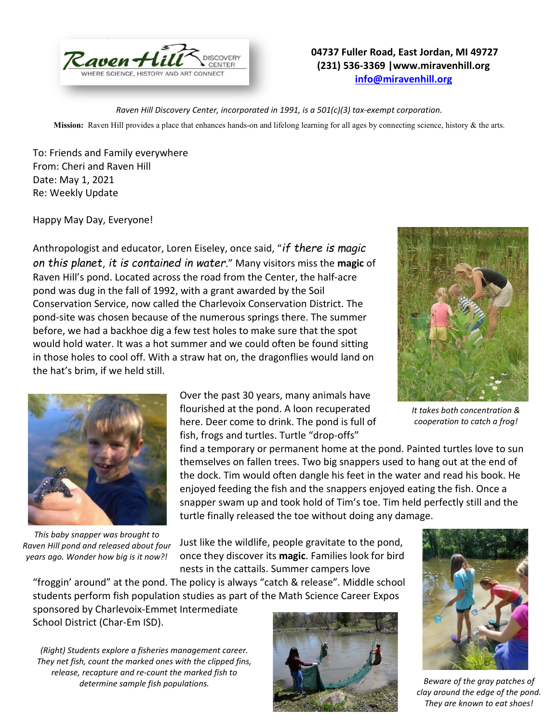

## **04737 Fuller Road, East Jordan, MI 49727 (231) 536-3369 |www.miravenhill.org [info@miravenhill.org](mailto:info@miravenhill.org)**

*Raven Hill Discovery Center, incorporated in 1991, is a 501(c)(3) tax-exempt corporation.*

**Mission:** Raven Hill provides a place that enhances hands-on and lifelong learning for all ages by connecting science, history & the arts.

To: Friends and Family everywhere From: Cheri and Raven Hill Date: May 1, 2021 Re: Weekly Update

Happy May Day, Everyone!

Anthropologist and educator, Loren Eiseley, once said, "*if there is magic on this planet, it is contained in water.*" Many visitors miss the **magic** of Raven Hill's pond. Located across the road from the Center, the half-acre pond was dug in the fall of 1992, with a grant awarded by the Soil Conservation Service, now called the Charlevoix Conservation District. The pond-site was chosen because of the numerous springs there. The summer before, we had a backhoe dig a few test holes to make sure that the spot would hold water. It was a hot summer and we could often be found sitting in those holes to cool off. With a straw hat on, the dragonflies would land on the hat's brim, if we held still.







*This baby snapper was brought to Raven Hill pond and released about four years ago. Wonder how big is it now?!*

Over the past 30 years, many animals have flourished at the pond. A loon recuperated here. Deer come to drink. The pond is full of fish, frogs and turtles. Turtle "drop-offs"

find a temporary or permanent home at the pond. Painted turtles love to sun themselves on fallen trees. Two big snappers used to hang out at the end of the dock. Tim would often dangle his feet in the water and read his book. He enjoyed feeding the fish and the snappers enjoyed eating the fish. Once a snapper swam up and took hold of Tim's toe. Tim held perfectly still and the turtle finally released the toe without doing any damage.

Just like the wildlife, people gravitate to the pond, once they discover its **magic**. Families look for bird nests in the cattails. Summer campers love

"froggin' around" at the pond. The policy is always "catch & release". Middle school students perform fish population studies as part of the Math Science Career Expos

sponsored by Charlevoix-Emmet Intermediate School District (Char-Em ISD).

*(Right) Students explore a fisheries management career. They net fish, count the marked ones with the clipped fins, release, recapture and re-count the marked fish to determine sample fish populations.* 





*Beware of the gray patches of clay around the edge of the pond. They are known to eat shoes!*